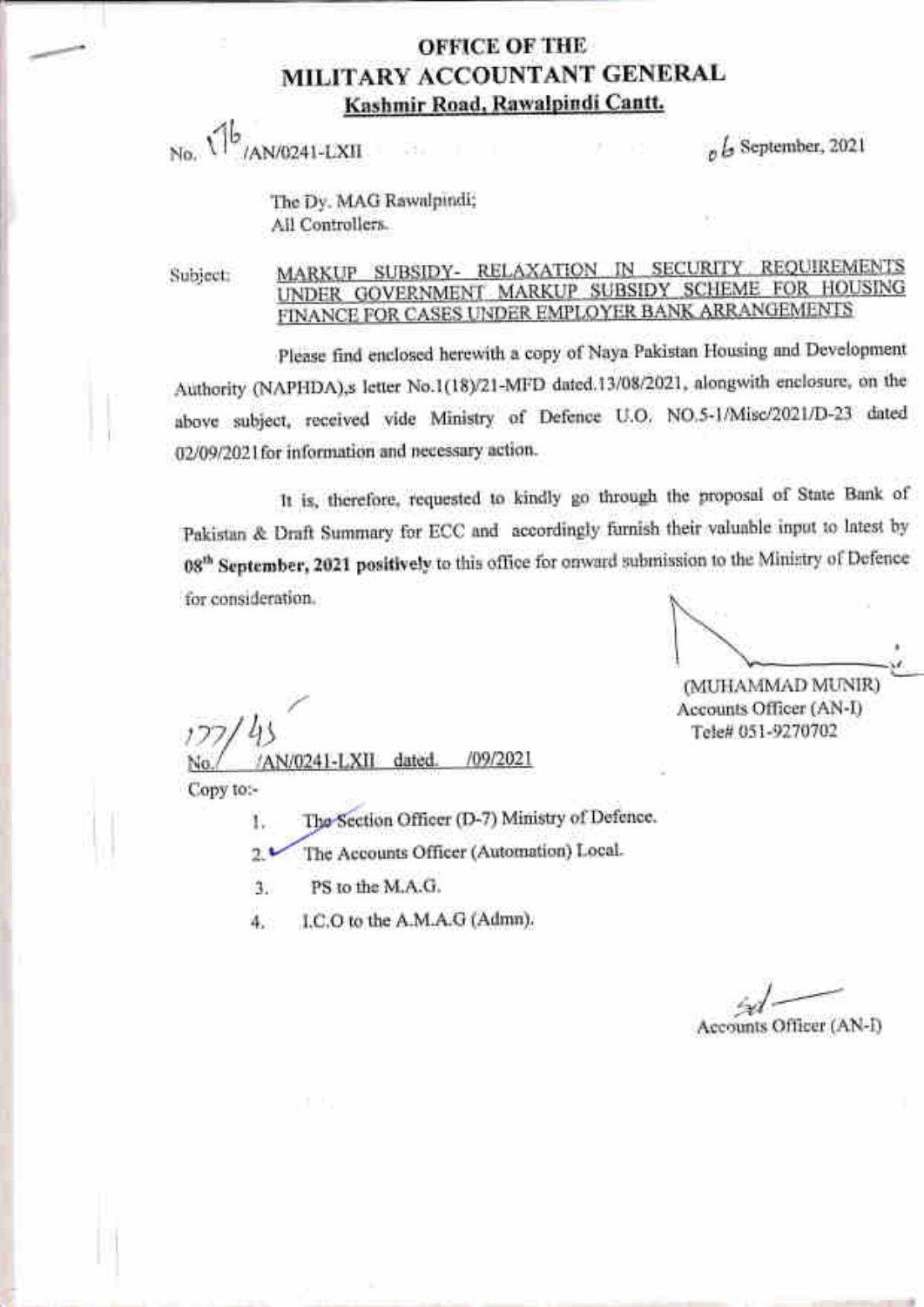### **OFFICE OF THE** MILITARY ACCOUNTANT GENERAL Kashmir Road, Rawalpindi Cantt.

/AN/0241-LXII  $N_0$   $\sqrt{5}$ 

 $h$ , September, 2021

The Dy. MAG Rawalpindi; Ail Controliers.

Subject:

#### MARKUP SUBSIDY- RELAXATION IN SECURITY REQUIREMENTS UNDER GOVERNMENT MARKUP SUBSIDY SCHEME FOR HOUSING FINANCE FOR CASES UNDER EMPLOYER BANK ARRANGEMENTS

please find enelosed herewith a copy of Naya Pakistan Housing and Development Authority (NAPHDA),s letter No.1(18)/21-MFD dated.13/08/2021, alongwith enclosure, on the above subject, received vide Ministry of Defence U.O. NO.5-1/Misc/2021/D-23 dated 02/09/2021 for information and necessary action.

It is, therefore, requested to kindly go through the proposal of State Bank of pakistan & Draft Summary for ECC and accordingiy furnish their valuabie input to latest by 08<sup>th</sup> September, 2021 positively to this office for onward submission to the Ministry of Defence for consideration.

u\_\_

(MUHAMMAD MUNIR) Accounts Officer (AN-D Tele# 051-9270702

No./ /AN/0241-LXII dated. /09/2021 /09/2021

Copy to:-

1. The Section Officer (D-7) Ministry of Defence.

2. The Accounts Officer (Automation) Local.

a J PS to the M.A.G.

4. I.C.O to the A.M.A.G (Admn).

 $^{\prime\prime}$ Accounts Officer (AN-I)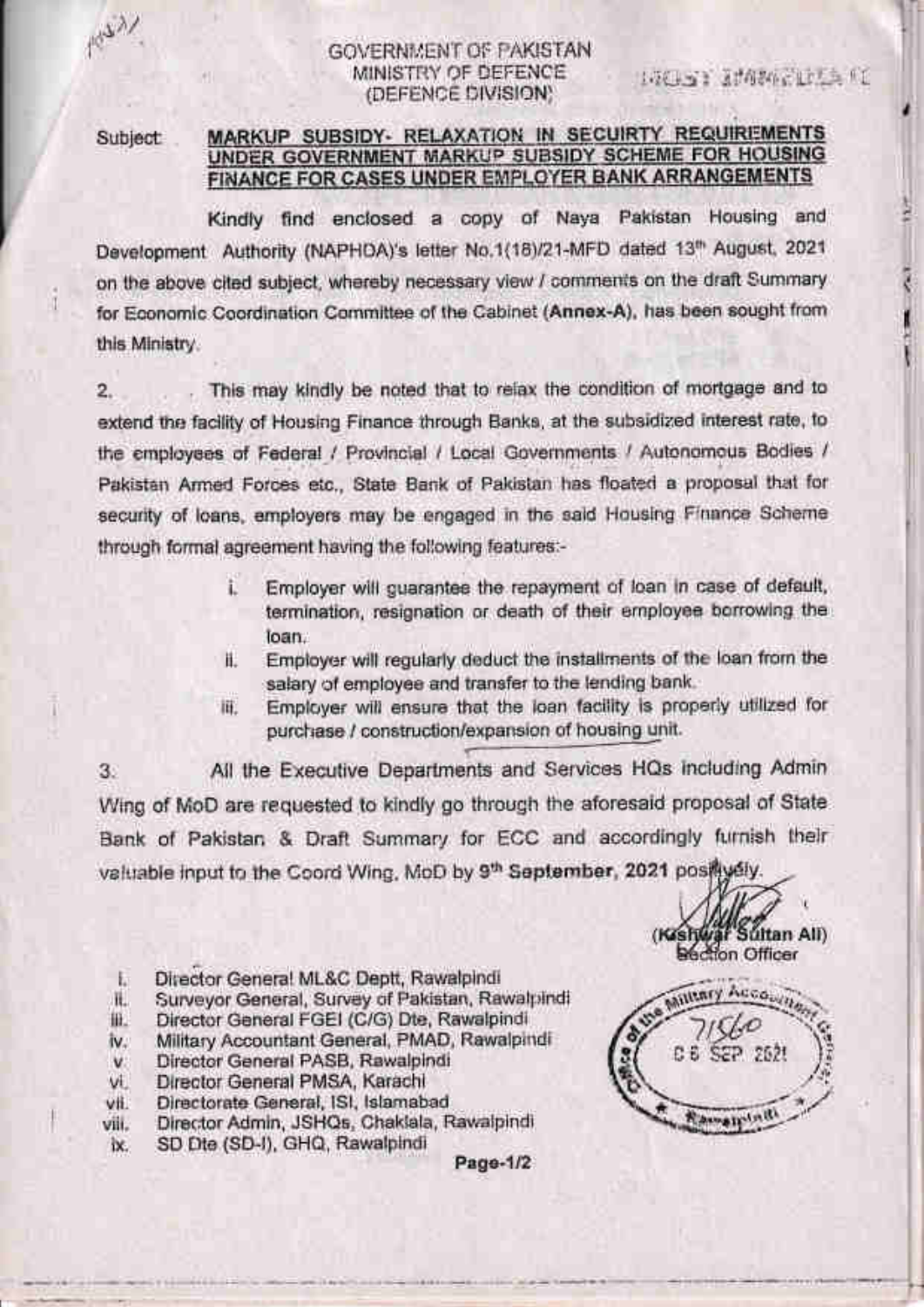43.

#### GOVERNMENT OF PAKISTAN MINISTRY OF DEFENCE (DEFENCE DIVISION)

Subject

#### MARKUP SUBSIDY- RELAXATION IN SECUIRTY REQUIREMENTS UNDER GOVERNMENT MARKUP SUBSIDY SCHEME FOR HOUSING FINANCE FOR CASES UNDER EMPLOYER BANK ARRANGEMENTS

Kindly find enclosed a copy of Naya Pakistan Housing and Development Authority (NAPHDA)'s letter No.1(18)/21-MFD dated 13th August, 2021. on the above cited subject, whereby necessary view / comments on the draft Summary for Economic Coordination Committee of the Cabinet (Annex-A), has been sought from this Ministry.

This may kindly be noted that to relax the condition of mortgage and to  $2.$ extend the facility of Housing Finance through Banks, at the subsidized interest rate, to the employees of Federal / Provincial / Local Governments / Autonomous Bodies / Pakistan Armed Forces etc., State Bank of Pakistan has floated a proposal that for security of loans, employers may be engaged in the said Housing Finance Scheme through formal agreement having the following features:-

- Employer will guarantee the repayment of loan in case of default, î. termination, resignation or death of their employee borrowing the loan.
- Employer will regularly deduct the installments of the loan from the ii. salary of employee and transfer to the lending bank.
- Employer will ensure that the loan facility is properly utilized for iii. purchase / construction/expansion of housing unit.

All the Executive Departments and Services HQs including Admin 3. Wing of MoD are requested to kindly go through the aforesaid proposal of State Bank of Pakistan & Draft Summary for ECC and accordingly furnish their valuable input to the Coord Wing, MoD by 9th September, 2021 posity sly.

- Director General ML&C Deptt, Rawalpindi Ł.
- Surveyor General, Survey of Pakistan, Rawalpindi ii.
- Director General FGEI (C/G) Dte, Rawalpindi 批.
- Military Accountant General, PMAD, Rawalpindi IV.
- Director General PASB, Rawalpindi v.
- vi. Director General PMSA, Karachi
- Directorate General, ISI, Islamabad vii.
- Director Admin, JSHQs, Chaklala, Rawalpindi viii.
- SD Dte (SD-I), GHQ, Rawalpindi ix.

Page-1/2

(Keshwar Sultan All)<br>Section Officer Millenry Accounty C 6 SEP 2521 Romanyindi

1984-63 通信相談の記録の方法(1)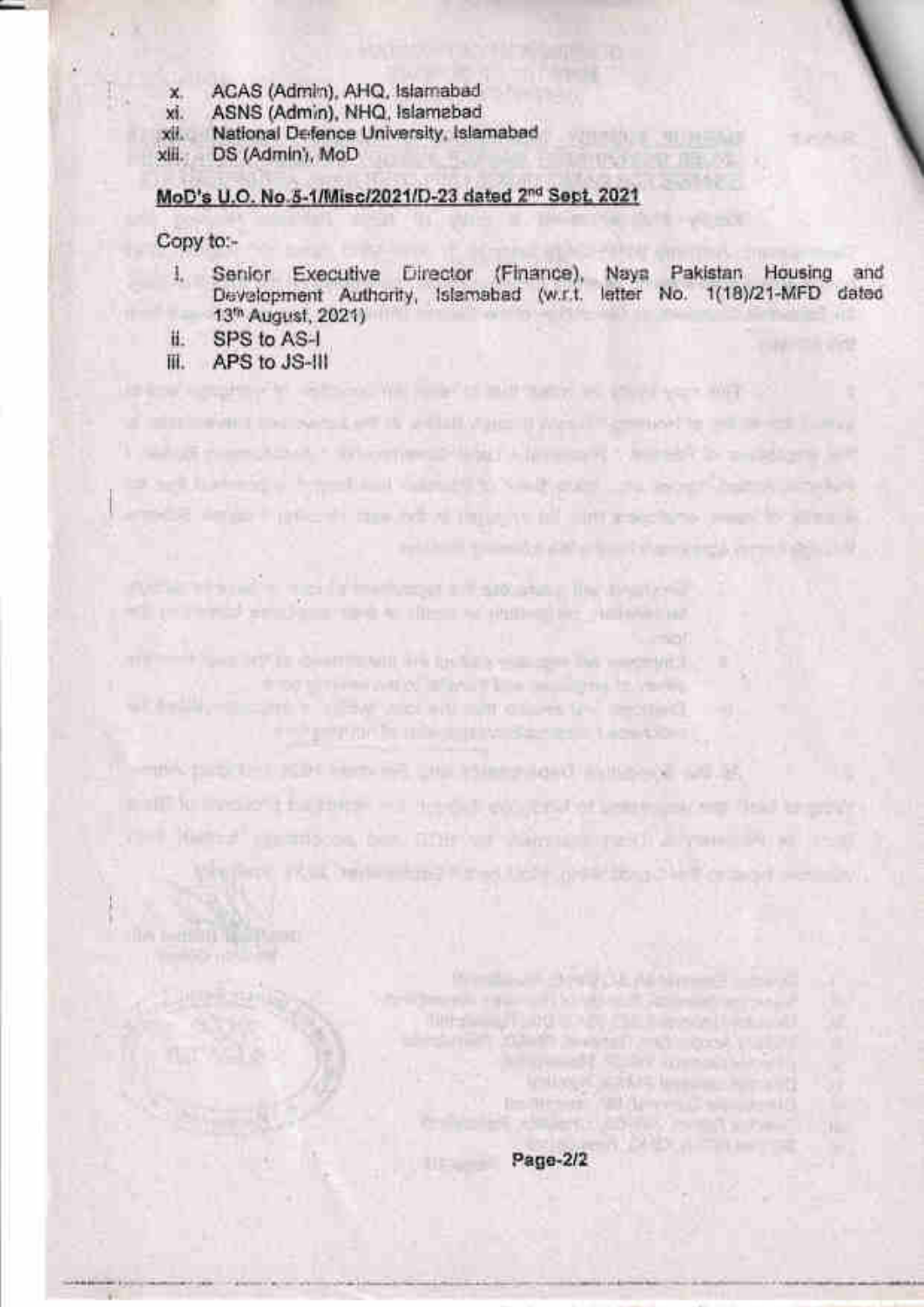- ACAS (Admin), AHQ, Islamabad  $\mathbf{x}$
- vi. ASNS (Admin), NHQ, Islamabad
- National Defence University, Islamabad xii.

xiii. DS (Admin), MoD

#### MoD's U.O. No.3-1/Misc/2021/D-23 dated 2nd Sept. 2021

#### Copy to:-

Senior Executive Director (Finance), Naya Pakistan Housing  $\mathbf{L}$ and Development Authority, Islamabad (w.r.t. letter No. 1(18)/21-MFD dated 13<sup>th</sup> August, 2021)

there we want of a through so provided with the

a minimalizar per sessioner is a flatterare investigation and to be editional

brack having a form that safety is variable in a second and could

a most desperti private de sus objetivos en informaciones e escritos privates de

TO HE'S SEE IT THE VEHICLE IN A RELEASE.

**HORN THE REPORT OF A REPORT OF A STATE OF A REPORT OF A REPORT OF A REPORT OF A REPORT OF A REPORT OF A REPORT** 

the property of the committee of the committee of the basic of the committee of the committee of the committee of

enhannor frame in withered in the Obie

minitian involvement and the detailed policy of parts and the pro-

OFF 1985 # I ILETTOOR DEN GOB VER VARAGE IT 250 ALVERE POR FERD

the first in the only and the state of the point or and see the

The company of the company of the company of the company of the company of

THE TWO COLUMNS IS NOT THE REPORT OF THE REPORT OF THE REPORT OF THE REPORT OF THE REPORT OF THE REPORT OF THE REPORT OF THE REPORT OF THE REPORT OF THE REPORT OF THE REPORT OF THE REPORT OF THE REPORT OF THE REPORT OF THE

Digital and a series of the part of the state of the state of the state of

WITH SALE CRITINGS AT

**HEAT AT THE OWN** 

the control of the control of the control of the control of the control of the control of the control of the control of the control of the control of the control of the control of the control of the control of the control

**Michael Cold Michael Color** 

**All in September (1989)** pulled and the article with **VALLAGE ASSESSMENT PROPERTY In the air full great complete** competitive property for them."

m

- SPS to AS-I ii.
- APS to JS-III Ш.

Page-2/2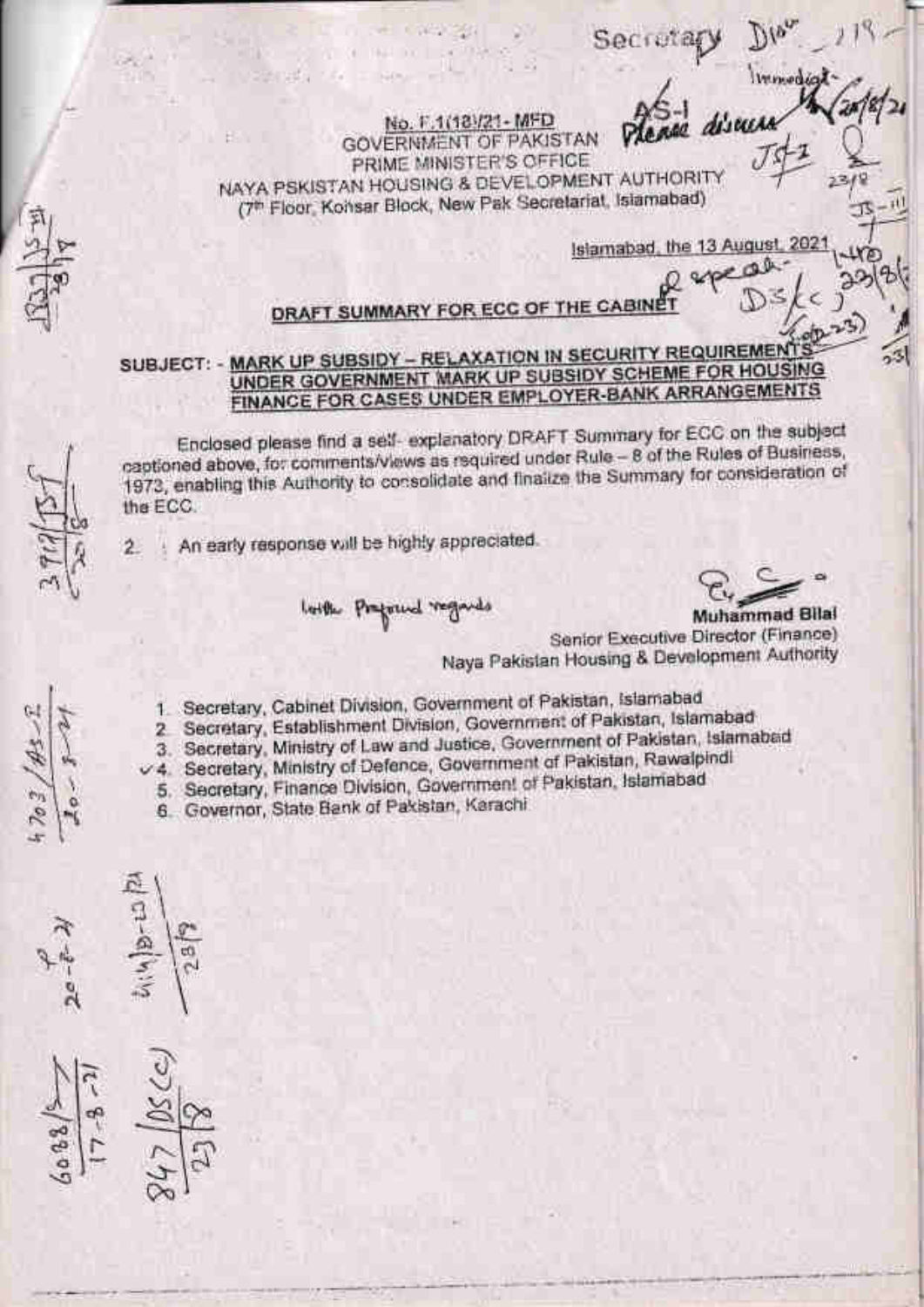No. F.1(18)/21 - MFD **GOVERNMENT OF PAKISTAN** PRIME MINISTER'S OFFICE NAYA PSKISTAN HOUSING & DEVELOPMENT AUTHORITY (7th Floor, Kohsar Block, New Pak Secretariat, Islamabad)

> Islamabad, the 13 August.  $202'$

Winworks

Secretar

# DRAFT SUMMARY FOR ECC OF THE CABINE

#### SUBJECT: - MARK UP SUBSIDY - RELAXATION IN SECURITY REQUIREMENT! UNDER GOVERNMENT MARK UP SUBSIDY SCHEME FOR HOUSING FINANCE FOR CASES UNDER EMPLOYER-BANK ARRANGEMENTS

Enclosed please find a self-explanatory DRAFT Summary for ECC on the subject captioned above, for comments/views as required under Rule - 8 of the Rules of Business, 1973, enabling this Authority to consolidate and finalize the Summary for consideration of the ECC.

An early response will be highly appreciated.  $\mathbf{2}$ 

senata.

lottle Preferred regards

Muhammad Bilai Senior Executive Director (Finance) Naya Pakistan Housing & Development Authority

- 1. Secretary, Cabinet Division, Government of Pakistan, Islamabad
- 2 Secretary, Establishment Division, Government of Pakistan, Islamabad
- 3. Secretary, Ministry of Law and Justice, Government of Pakistan, Islamabad

v 4. Secretary, Ministry of Defence, Government of Pakistan, Rawalpindi

5. Secretary, Finance Division, Government of Pakistan, Islamabad

6. Governor, State Bank of Pakistan, Karachi

τú

 $703$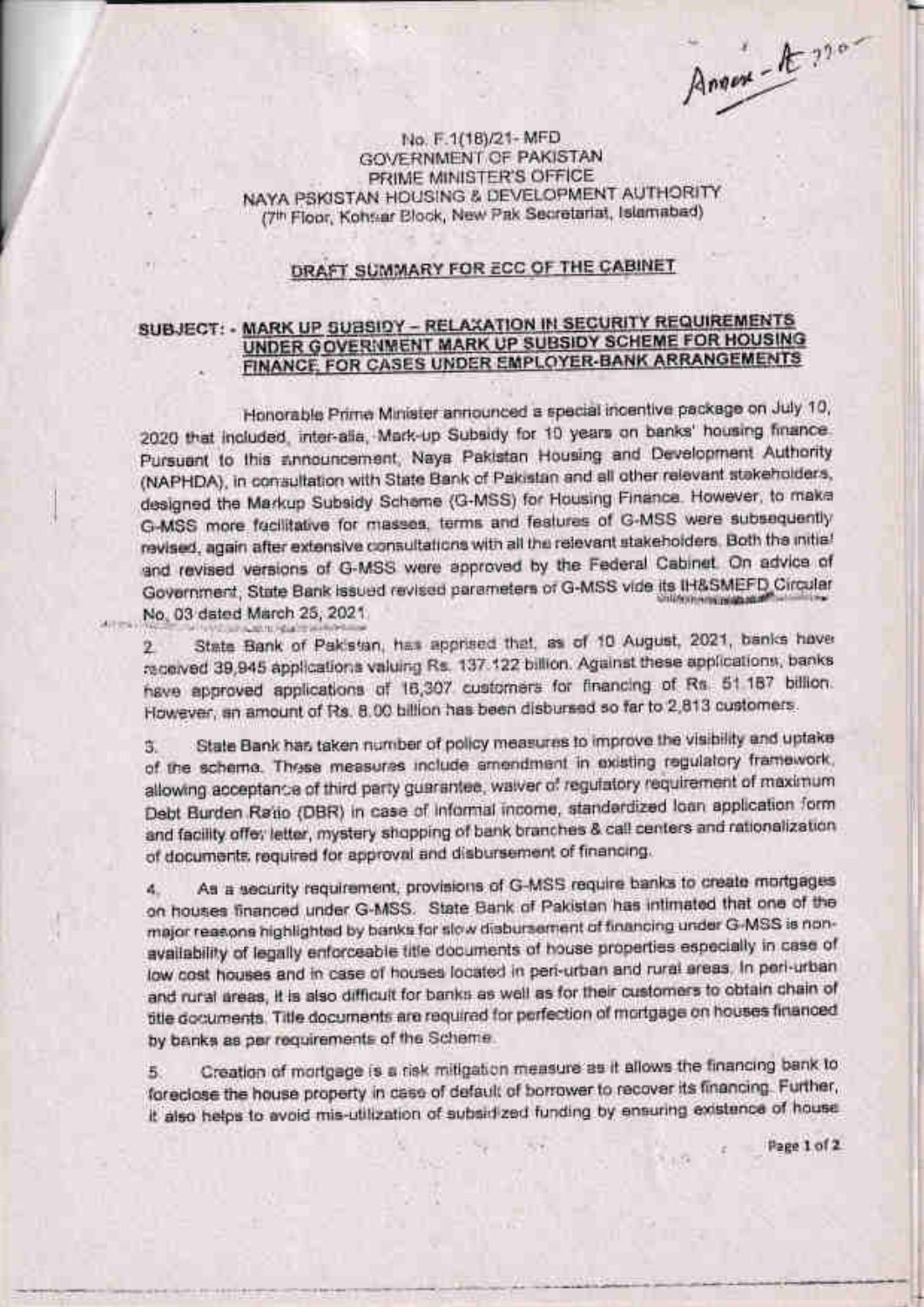Annex-A-220-

No. F.1(18)/21-MFD **GOVERNMENT OF PAKISTAN** PRIME MINISTER'S OFFICE NAYA PSKISTAN HOUSING & DEVELOPMENT AUTHORITY (7th Floor, Kohsar Block, New Pak Secretariat, Islamabad)

#### DRAFT SUMMARY FOR ECC OF THE CABINET

#### SUBJECT: - MARK UP SUBSIDY - RELAXATION IN SECURITY REQUIREMENTS UNDER GOVERNMENT MARK UP SUBSIDY SCHEME FOR HOUSING FINANCE, FOR CASES UNDER EMPLOYER-BANK ARRANGEMENTS

Honorable Prime Minister announced a special incentive package on July 10, 2020 that included, inter-alia, Mark-up Subsidy for 10 years on banks' housing finance. Pursuant to this announcement, Naya Pakistan Housing and Development Authority (NAPHDA), in consultation with State Bank of Pakistan and all other relevant stakeholders, designed the Markup Subsidy Scheme (G-MSS) for Housing Finance. However, to make G-MSS more fecilitative for masses, terms and features of G-MSS were subsequently revised, again after extensive consultations with all the relevant stakeholders. Both the initial and revised versions of G-MSS were approved by the Federal Cabinet. On advice of Government, State Bank issued revised parameters of G-MSS vide its IH&SMEFD Circular No. 03 dated March 25, 2021.

State Bank of Pakistan, has apprised that, as of 10 August, 2021, banks have 2. received 39,945 applications valuing Rs. 137-122 billion. Against these applications, banks have approved applications of 16,307 customers for financing of Rs 51.187 billion. However, an amount of Rs. 8.00 billion has been disbursed so far to 2,813 customers.

SUPPOST

State Bank has taken number of policy measures to improve the visibility and uptake з. of the scheme. These measures include amendment in existing regulatory framework, allowing acceptance of third party guarantee, walver of regulatory requirement of maximum Debt Burden Ratio (DBR) in case of informal income, standardized loan application form and facility offer letter, mystery shopping of bank branches & call centers and rationalization of documents required for approval and disbursement of financing.

As a security requirement, provisions of G-MSS require banks to create mortgages  $\mathbf{d}_n$ on houses financed under G-MSS. State Bank of Pakistan has intimated that one of the major reasons highlighted by banks for slow disbursement of financing under G-MSS is nonavailability of legally enforceable title documents of house properties especially in case of low cost houses and in case of houses located in peri-urban and rural areas, In peri-urban and rural areas, it is also difficult for banks as well as for their customers to obtain chain of title documents. Title documents are required for perfection of mortgage on houses financed by banks as per requirements of the Scheme.

Creation of mortgage is a risk mitigation measure as it allows the financing bank to Б. foreclose the house property in case of default of borrower to recover its financing. Further, It also helps to avoid mis-utilization of subsidized funding by ensuring existence of house

Page 1 of 2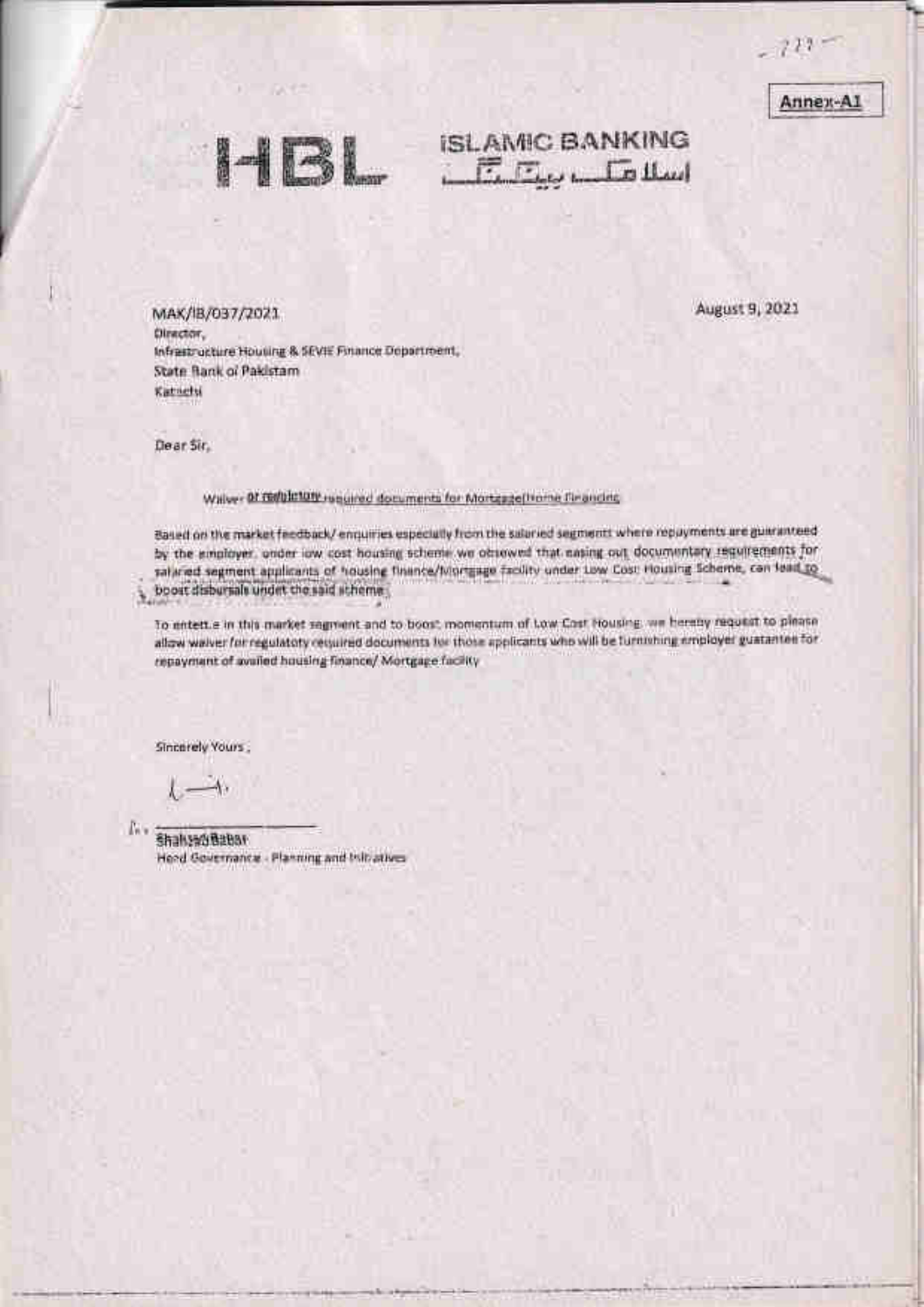$-722 -$ 

Annex-A1



# **ISLAMIC BANKING**  $E_E$

MAK/IB/037/2021 Director, Infrastructure Housing & SEVIE Finance Department, State Bank of Pakistam Katnets

August 9, 2021

Dear Sir.

¥

Walver Of Fishbirton required documents for Mortgage Home Financing

Based on the market feedback/ enquiries especially from the salaried segments where repayments are guaranteed by the employer, under low cost housing scheme we observed that easing out documentary requirements for salared segment applicants of housing finance/Mortgage facility under Low Cost Housing Scheme, can fead to boost disbursals undet the said scheme

To entertie in this market segment and to boost momentum of Low Cost Housing, we hereby request to please allow walver for regulatory required documents for those applicants who will be furnishing employer guatantee for repayment of availed housing finance/ Mortgage facility

Sincerely Yours

 $-\Lambda$  $l =$ 

E. **ShahandBabar** Head Governance - Planning and Initiatives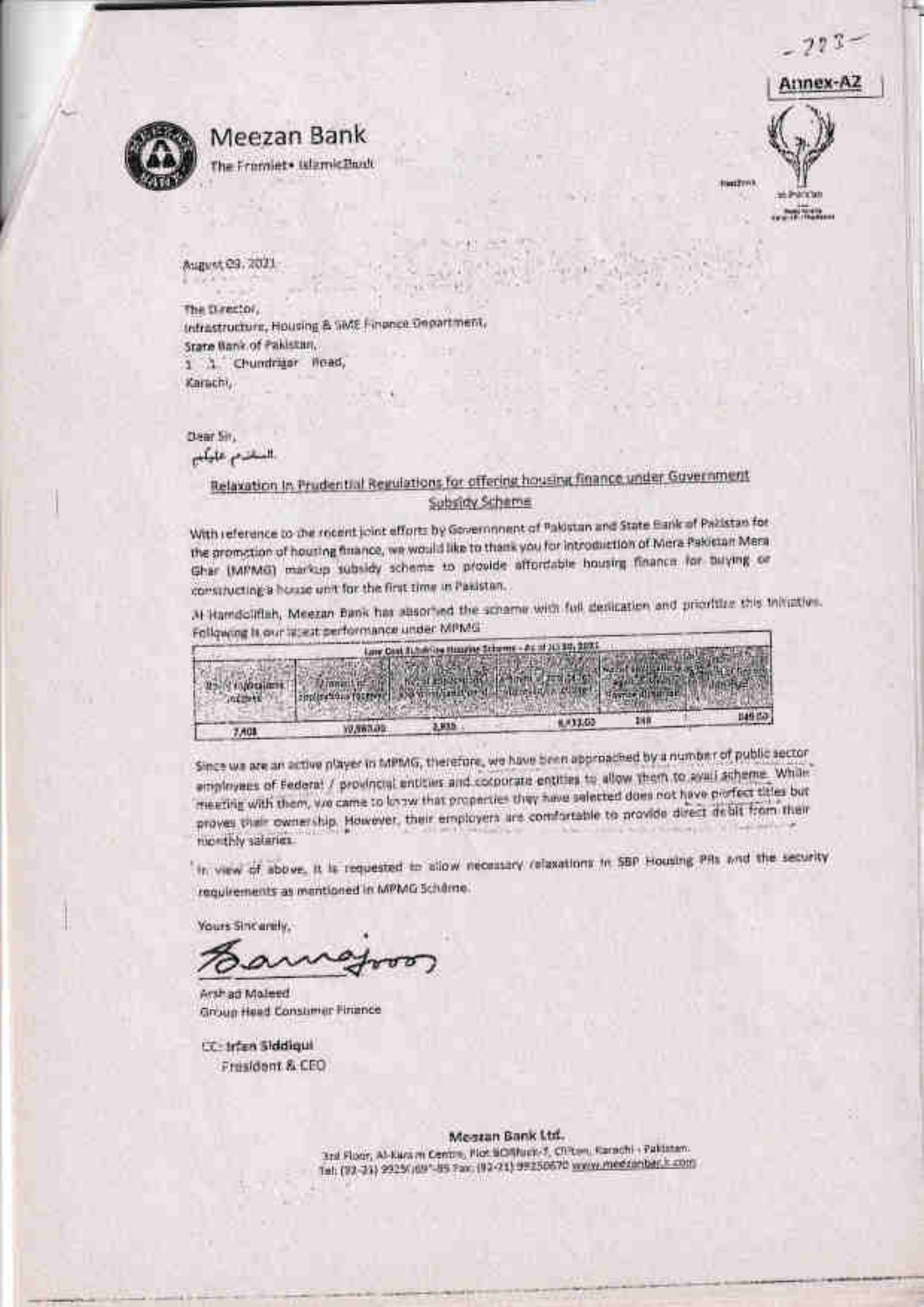$227$ 



## Meezan Bank

The Fromlet\* IslamicBuilt

Amex-A2 **CONTRACTOR** 

**Hardtow** 

August 03, 2021

The Director, Infrastructure, Housing & SME Finance Department, State Bank of Pakistan, 1 1 Chundriger Road, Karachi,

Dear Sir.

السانزم عليكيم

#### Relaxation In Pruderitial Regulations for offering housing finance under Government Subsidy Scheme

With reference to the rocent joint efforts by Government of Palostan and State Earle of Palistan for the promotion of housing finance, we would like to thank you for introduction of Mera Pakistan Mera Ghar (MPMG) markup subsidy scheme to provide affordable housing finance for buying or constructing a house unit for the first time in Pakistan.

At Hamdolitlah, Meezan Bank has alsorted the scharne with full desigation and prioritize this inhalties. Following Is our latest performance under MPMG

|           | Lave Cost 3    |                                                                                 |     |      |
|-----------|----------------|---------------------------------------------------------------------------------|-----|------|
|           |                | The contract of the contract of the contract of the contract of the contract of |     |      |
| indirect. |                |                                                                                 |     |      |
|           |                | 0.033.02                                                                        | 288 | 비용료과 |
| 7,401     | <b>MARGARE</b> |                                                                                 |     |      |

Since we are an active player in MPMG, therefore, we have been approached by a number of public sector employees of Federal / provincial entities and cocoorate entities to allow them to evali scheme. While meeting with them, we came to know that properties they have selected does not have piofect titles but proves thair ownership. However, their employers are comfortable to provide direct debit from their monthly salaries.

In view of above, it is requested to allow necessary relaxations in SBP Housing PRs and the security requirements as mentioned in MPMG Scheme.

**Yours Sincarety** 

Arshad Moleed Group Head Constimer Finance

CC: Infan Siddigui Fresident & CEO

> Mestan Bank Ltd. 3rd Floor, Al-Karam Centre, Not SCIRNER-7, Chicago Karachi - Pakistan. Tel: (93-21) 2925/jd9"-85 Fax: (92-21) 99250670 www.medzanbar.k.com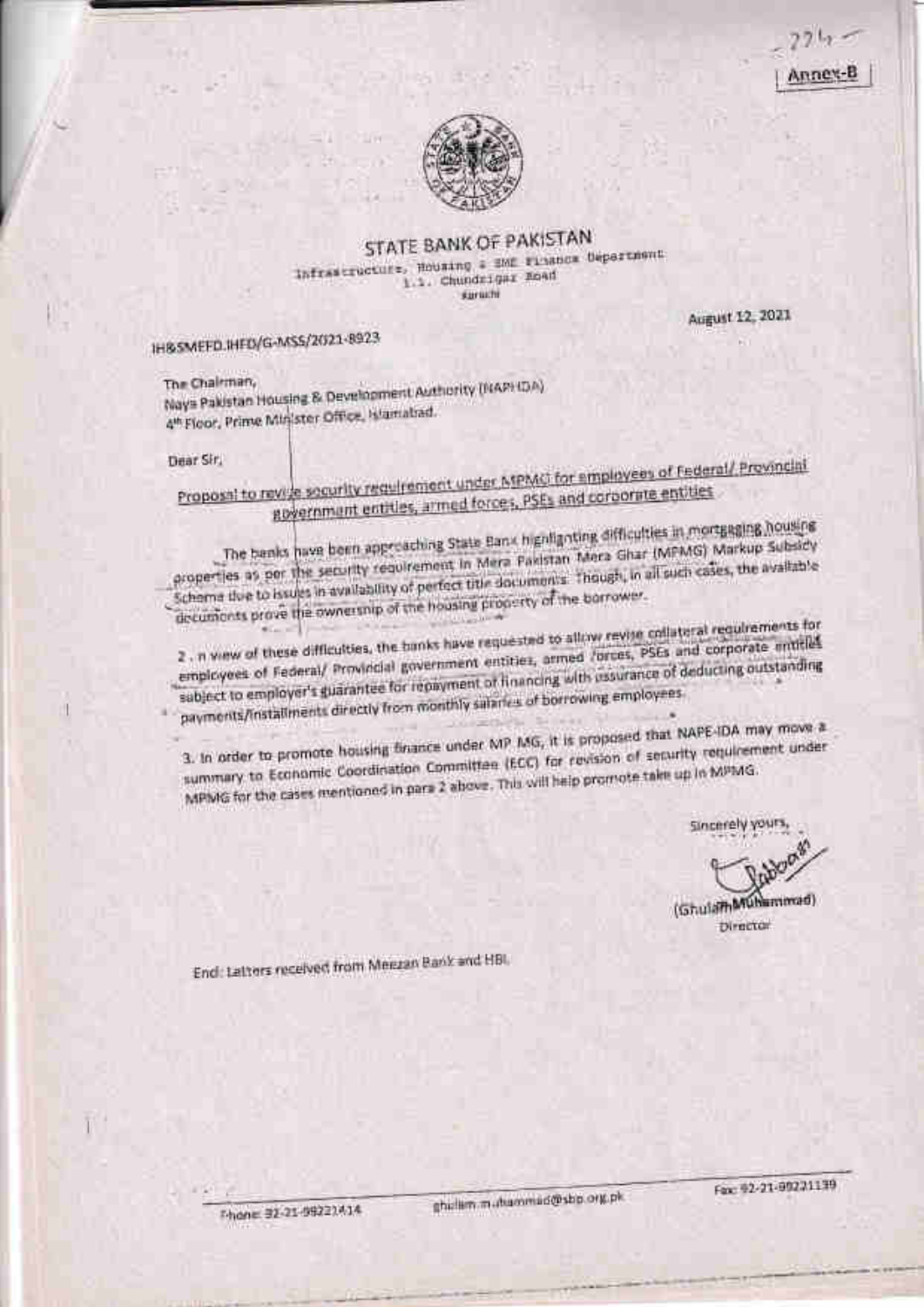Anney



#### STATE BANK OF PAKISTAN Infrastructure, Housing & SME risance Department 1.1. Chundrigar Boad suruchi

August 12, 2021

IH&SMEFD.IHFD/G-MSS/2021-8923

The Chairman, Nays Pakistan Housing & Development Authority (NAPHDA) 4th Floor, Prime Minister Office, Higmaliad.

Dear Sir,

Proposal to revise socurity requirement under MPMO for employees of Federal/ Provincial government entitles, armed forces, PSEs and corporate entities

The banks have been approaching State Bank highlighting difficulties in mortgaging housing properties as per the security requirement in Mera Pakistan Mera Ghar (MPMG) Markup Subsidy Schome tive to issues in availability of perfect title documents. Though, in all such cases, the available decuments prove the ownership of the housing property of the barrower.

2. n wew of these difficulties, the banks have requested to allow revise collateral requirements for employees of Federal/ Provincial government entities, armed forces, PSEs and corporate intitles sabject to employer's guarantee for repayment of financing with ussurance of deducting outstanding payments/installments directly from monthly salaries of borrowing employees.

3. In order to promote housing finance under MP MG, it is proposed that NAPE-IDA may move a summary to Economic Coordination Committee (ECC) for revision of security requirement under MPMG for the cases mentioned in para 2 above. This will help promote take up in MPMG.

Sincerely yours

(Ghuiam Muhammad) Director

End: Latters received from Meezan Bank and HBI,

Thone: 32-21-99222414

Fax: 02-21-00221139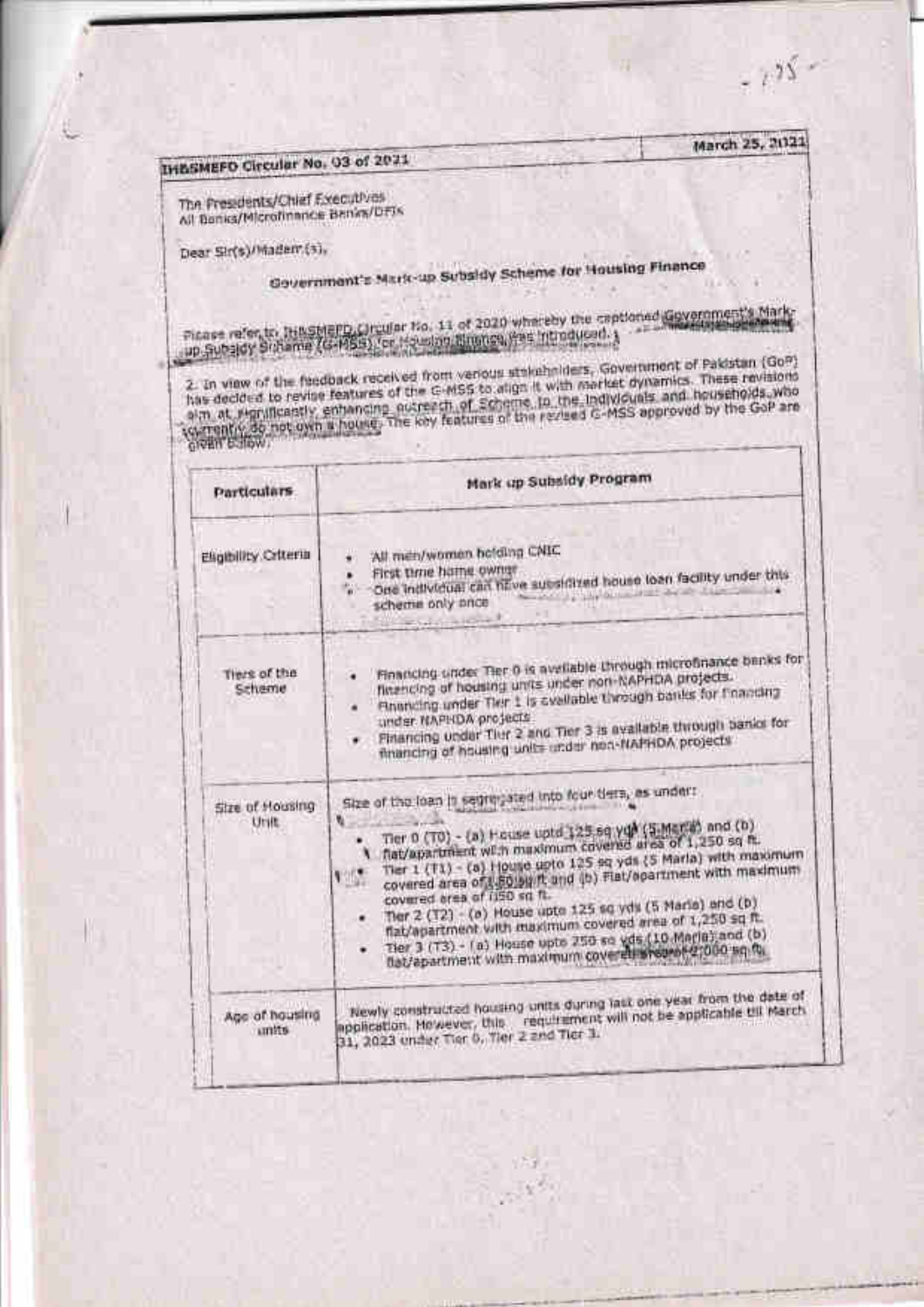## **IH&SMEFO Circular No. 03 of 2021**

The Presidents/Chief Executives All Benks/Microfinance Benks/DFIs

Dear Sin(s)/Madam.(s),

# Government's Mark-up Subsidy Scheme for Housing Finance

 $-135$ 

March 25, 2021

Picase refer, tr. THILSMEPD, Circular No. 11 of 2020 whereby the captioned Gevernment's Mark-

2. In view of the feedback received from verious stakehniders, Government of Pakistan (GoP)<br>has decided to revise features of the G-MSS to align it with meritet dynamics. These revisions<br>has decided to revise features of t

| Particulars.            | Mark up Subsidy Program                                                                                                                                                                                                                                                                                                                                                                                                                                                                                                                                                                                                                |  |  |
|-------------------------|----------------------------------------------------------------------------------------------------------------------------------------------------------------------------------------------------------------------------------------------------------------------------------------------------------------------------------------------------------------------------------------------------------------------------------------------------------------------------------------------------------------------------------------------------------------------------------------------------------------------------------------|--|--|
| Eligibility Criteria    | All men/women belding CNIC<br>First time hame owner<br>. One individual can have subsidized house loan facility under this<br><b>Service of the United States and States</b><br>scheme only once<br>$5 - 1 - 1 - 1 - 1$                                                                                                                                                                                                                                                                                                                                                                                                                |  |  |
| Tiers of the<br>Scheme  | Financing under Tier 0 is available through interofinance banks for<br>financing of housing units under non-NAPHDA projects.<br>Rhanding under Tier 1 is evaluable through banks for financing<br>under NAPHDA projects<br>Financing under Tier 2 and Tier 3 is available through banks for<br>financing of housing units under nea-flat HDA projects                                                                                                                                                                                                                                                                                  |  |  |
| Size of Housing<br>Unit | Size of the loan in setting sted into four tiers, as under:<br>W.<br>Tier 0 (T0) - (a) House uptd 125 sq yqk (5 Marta) and (b)<br>flat/apartment with maximum covered area of 1,250 sq ft.<br>Tier 1 (T1) - (a) House goto 125 sq yds (5 Marla) with maximum<br>covered area of 1,50 big ft and (b) Flat/epartment with maximum<br><b>KIDE</b><br>covered orea of (150 sq ft.)<br>Ther 2 (12) - (a) House upto 125 sq yds (5 Marie) and (b)<br>flat/apartment with maximum covered area of 1,250 sq ft.<br>Tier 3 (T3) - (a) House upto 250 so vds (10 Maria) and (b)<br>۰<br>bat/apartment with maximum coveretininesent-2,000 sq.ft. |  |  |
| Age of housing<br>units | Newly constructed housing units during last one year from the date of<br>application. He wever, this requirement will not be applicable till March<br>31, 2023 under Tier 6, Tier 2 and Tier 3.                                                                                                                                                                                                                                                                                                                                                                                                                                        |  |  |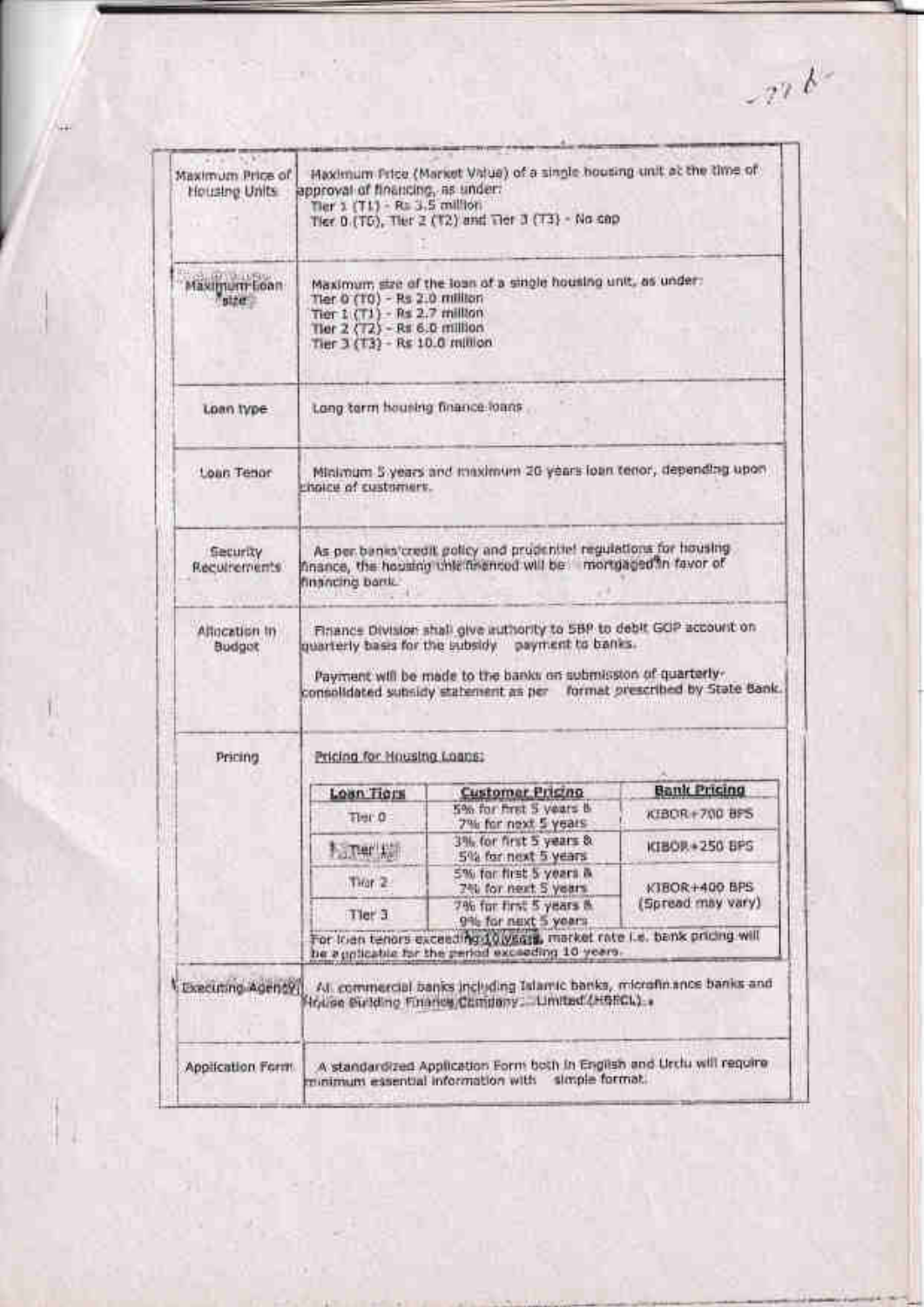| Housing Units                    | Haximum Price (Market Value) of a single housing unit at the time of<br>Maximum Price of<br>approval of financing, as under:<br>Tier $2(71) - R = 3.5$ million<br>Tier. 0. (TG), Tier 2 (T2) and Tier 3 (T3) - No cap |                                                                                                                                                                                            |                                    |  |  |
|----------------------------------|-----------------------------------------------------------------------------------------------------------------------------------------------------------------------------------------------------------------------|--------------------------------------------------------------------------------------------------------------------------------------------------------------------------------------------|------------------------------------|--|--|
| Maximum Loan<br><b>Falber</b>    | Maximum; size of the loan of a single housing unit, as under:<br>Tier 0 (10) - Rs 2.0 million<br>Tier $1(T1) - Rs 2.7$ million<br>Tier 2 (T2) - R# 6.0 million<br>Tier 3 (T3) - Rs 10.0 million                       |                                                                                                                                                                                            |                                    |  |  |
| Loan Ivpe:                       | Long term housing finance loans                                                                                                                                                                                       |                                                                                                                                                                                            |                                    |  |  |
| Loan Tenor                       | Minimum 5 years and maximum 20 years loan tenor, depending upon<br>rholce of customers.                                                                                                                               |                                                                                                                                                                                            |                                    |  |  |
| <b>Security</b><br>Recurrements: | As per beneficted t policy and productief regulations for housing<br>finance, the housing unletting mod will be mortgaged in favor of<br>financing barric                                                             |                                                                                                                                                                                            |                                    |  |  |
| Allocation in<br>Budget          |                                                                                                                                                                                                                       | Finance Division shall give authority to 5BP to debit GOP account on<br>quarterly bases for the subsidy payment to banks.<br>Payment will be made to the banks on submission of quarterly- |                                    |  |  |
|                                  |                                                                                                                                                                                                                       | consolidated subsidy statement as per                                                                                                                                                      |                                    |  |  |
| Pricing                          | Pricing for Housing Loans:                                                                                                                                                                                            |                                                                                                                                                                                            |                                    |  |  |
|                                  |                                                                                                                                                                                                                       | Customar Prisino                                                                                                                                                                           | <b>Bank Pricing</b>                |  |  |
|                                  | Loan Tions<br>Time O                                                                                                                                                                                                  | 5% for first 5 years &                                                                                                                                                                     | KIBOR+700 BFS                      |  |  |
|                                  | <b>Facturer Add</b>                                                                                                                                                                                                   | 7% for next 5 years<br>3% for first 5 years &<br>5% for next 5 years                                                                                                                       | KIBOR + 250 BPS                    |  |  |
|                                  | Tiran 2                                                                                                                                                                                                               | 5% for first 5 years &                                                                                                                                                                     |                                    |  |  |
|                                  |                                                                                                                                                                                                                       | 240 for next 5 years<br>7% for first 5 years &                                                                                                                                             | KIBOR+400.BPS<br>(Spread may vary) |  |  |
|                                  | Tier 3                                                                                                                                                                                                                | 9% for next 5 years<br>For Irian tenors exceeding 10 years, market rate i.e. bank pricing will                                                                                             | format prescribed by State Bank.   |  |  |
| Executing Adenty                 |                                                                                                                                                                                                                       | be a pplicable for the period exceeding 10 years.<br>All commercial banks including Islamic banks, microfinance banks and<br>frice Sulding Finance Company: United (Hencl.).               |                                    |  |  |

 $-276$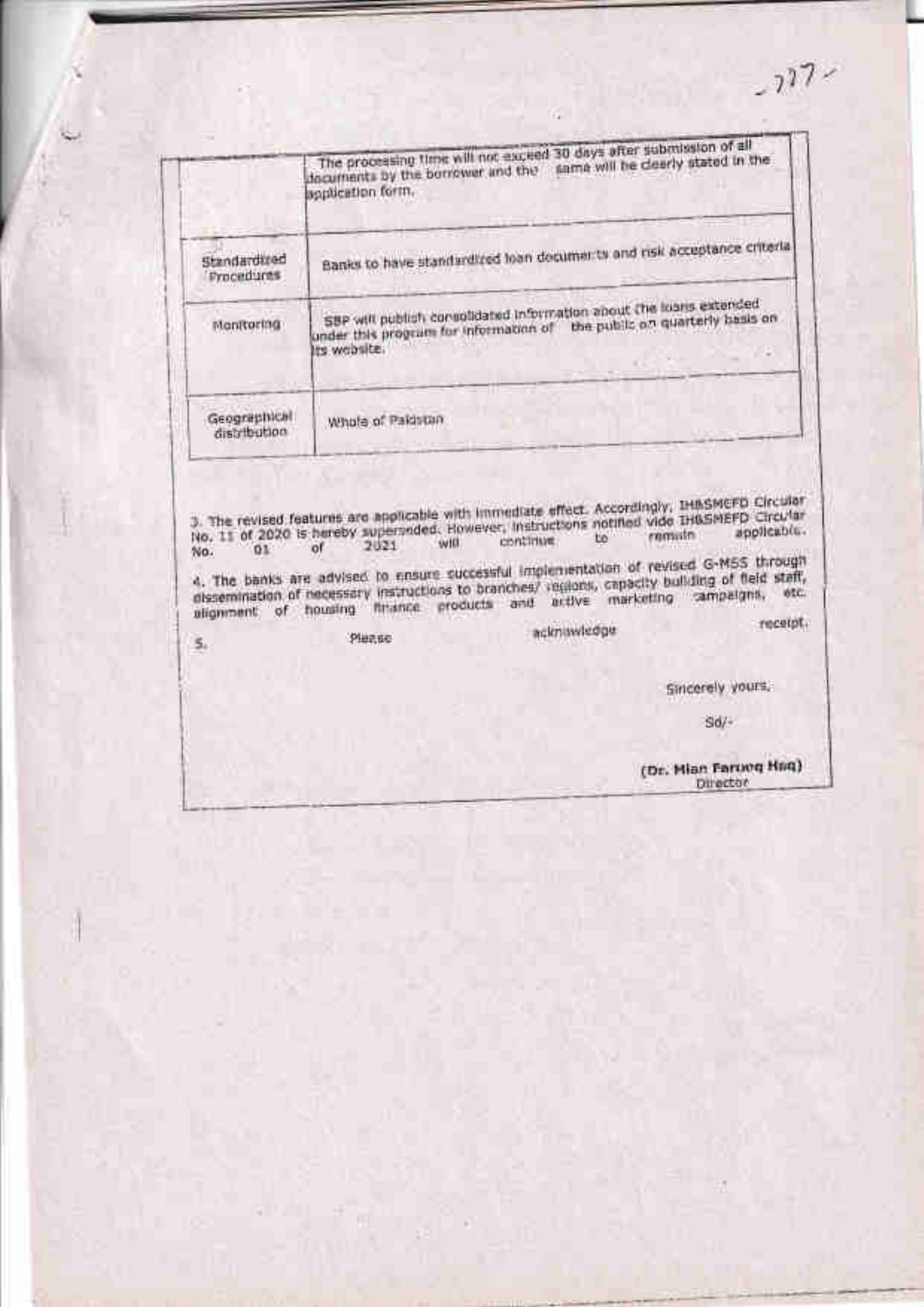$-227$ 

|                              | The processing time will not exceed 30 days after submission of all<br>documents by the borrower and the same will be deerly stated in the<br>application form. |  |
|------------------------------|-----------------------------------------------------------------------------------------------------------------------------------------------------------------|--|
| Standardized<br>Procedures   | Banks to have standardized loan documents and risk acceptance criterial                                                                                         |  |
| Monttoring                   | SBP will publish correlidated information about the lears extended<br>the public on quarterly basis on<br>under this program for information of<br>ts woosite.  |  |
| Geographical<br>distribution | Whole of Pakistan                                                                                                                                               |  |

m

 $\frac{1}{100}$ . The revised features are applicable with immediate effect. Accordingly, the SMCFD Circular No. 11 of 2020 is hereby superpeded. However, instructions notified vide this philosophicable.<br>No.  $\frac{1}{100}$  of  $\frac$ 

4. The banks are advised to ensure successful implementation of revised G-M5S through<br>dissemination of necessary instructions to branches/ regions, capacity building of field staff,<br>alignment of housing finance products an receipt.

Please

 $\overline{\mathsf{s}}$ 

acknowledge

Sincerely yours.

 $Sd/$ 

(Dr. Mian Farovq Hnq) Director